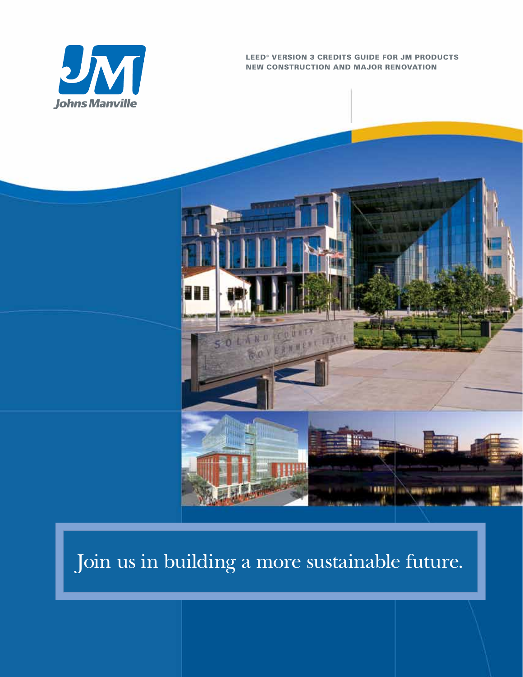

Leed® version 3 credits guide for jm Products New construction and major renovation



Join us in building a more sustainable future.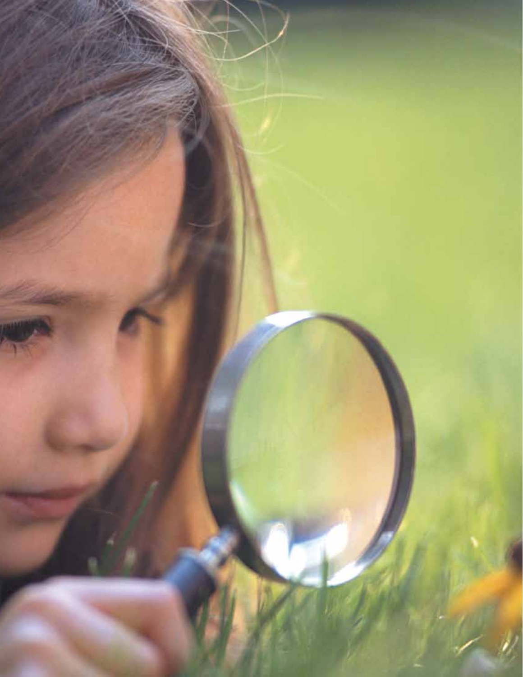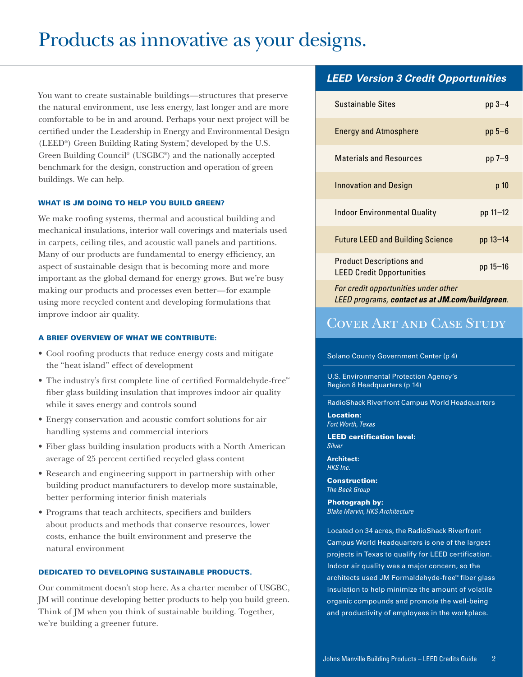# Products as innovative as your designs.

You want to create sustainable buildings—structures that preserve the natural environment, use less energy, last longer and are more comfortable to be in and around. Perhaps your next project will be certified under the Leadership in Energy and Environmental Design (LEED®) Green Building Rating System™, developed by the U.S. Green Building Council® (USGBC®) and the nationally accepted benchmark for the design, construction and operation of green buildings. We can help.

#### WHAT IS JM DOING TO HELP YOU BUILD GREEN?

We make roofing systems, thermal and acoustical building and mechanical insulations, interior wall coverings and materials used in carpets, ceiling tiles, and acoustic wall panels and partitions. Many of our products are fundamental to energy efficiency, an aspect of sustainable design that is becoming more and more important as the global demand for energy grows. But we're busy making our products and processes even better—for example using more recycled content and developing formulations that improve indoor air quality.

#### A brief overview of what we contribute:

- Cool roofing products that reduce energy costs and mitigate the "heat island" effect of development
- • The industry's first complete line of certified Formaldehyde-free™ fiber glass building insulation that improves indoor air quality while it saves energy and controls sound
- • Energy conservation and acoustic comfort solutions for air handling systems and commercial interiors
- Fiber glass building insulation products with a North American average of 25 percent certified recycled glass content
- Research and engineering support in partnership with other building product manufacturers to develop more sustainable, better performing interior finish materials
- • Programs that teach architects, specifiers and builders about products and methods that conserve resources, lower costs, enhance the built environment and preserve the natural environment

#### Dedicated to Developing sustainable products.

Our commitment doesn't stop here. As a charter member of USGBC, JM will continue developing better products to help you build green. Think of JM when you think of sustainable building. Together, we're building a greener future.

### *LEED Version 3 Credit Opportunities*

| <b>Sustainable Sites</b>                                            | $pp3-4$      |
|---------------------------------------------------------------------|--------------|
| <b>Energy and Atmosphere</b>                                        | $pp 5-6$     |
| <b>Materials and Resources</b>                                      | $pp 7-9$     |
| <b>Innovation and Design</b>                                        | p 10         |
| <b>Indoor Environmental Quality</b>                                 | pp $11 - 12$ |
| <b>Future LEED and Building Science</b>                             | pp $13 - 14$ |
| <b>Product Descriptions and</b><br><b>LEED Credit Opportunities</b> | pp $15 - 16$ |
| For credit opportunities under other                                |              |

*LEED programs, contact us at JM.com/buildgreen.*

### Cover Art and Case Study

Solano County Government Center (p 4)

U.S. Environmental Protection Agency's Region 8 Headquarters (p 14)

RadioShack Riverfront Campus World Headquarters

Location: *Fort Worth, Texas*

LEED certification level: *Silver*

**Architect:** *HKS Inc.*

Construction: *The Beck Group*

Photograph by: *Blake Marvin, HKS Architecture*

Located on 34 acres, the RadioShack Riverfront Campus World Headquarters is one of the largest projects in Texas to qualify for LEED certification. Indoor air quality was a major concern, so the architects used JM Formaldehyde-free™ fiber glass insulation to help minimize the amount of volatile organic compounds and promote the well-being and productivity of employees in the workplace.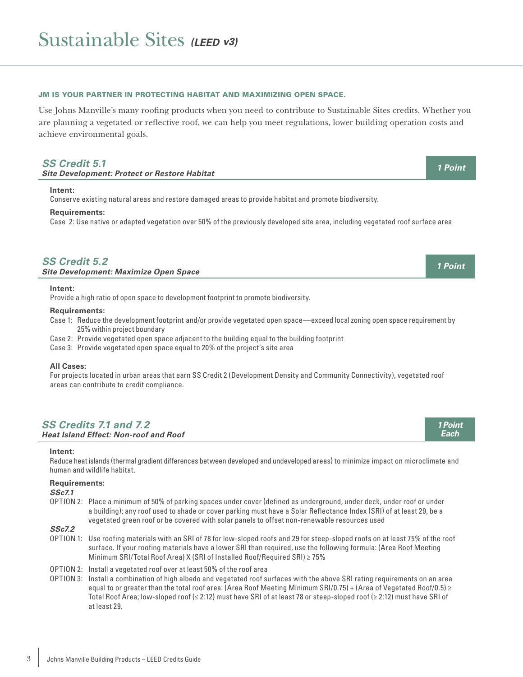#### JM is your partner in protecting habitat and maximizing open space.

Use Johns Manville's many roofing products when you need to contribute to Sustainable Sites credits. Whether you are planning a vegetated or reflective roof, we can help you meet regulations, lower building operation costs and achieve environmental goals.

### *SS Credit 5.1*

| <u>UU VIGUIL J.I</u>                                | 1 Point |
|-----------------------------------------------------|---------|
| <b>Site Development: Protect or Restore Habitat</b> |         |

#### **Intent:**

Conserve existing natural areas and restore damaged areas to provide habitat and promote biodiversity.

#### **Requirements:**

Case 2: Use native or adapted vegetation over 50% of the previously developed site area, including vegetated roof surface area

### *SS Credit 5.2*

*Site Development: Maximize Open Space 1 Point*

*1 Point Each*

#### **Intent:**

Provide a high ratio of open space to development footprint to promote biodiversity.

#### **Requirements:**

- Case 1: Reduce the development footprint and/or provide vegetated open space—exceed local zoning open space requirement by 25% within project boundary
- Case 2: Provide vegetated open space adjacent to the building equal to the building footprint
- Case 3: Provide vegetated open space equal to 20% of the project's site area

#### **All Cases:**

For projects located in urban areas that earn SS Credit 2 ( Development Density and Community Connectivity), vegetated roof areas can contribute to credit compliance.

### *SS Credits 7.1 and 7.2*

*Heat Island Effect: Non-roof and Roof*

#### **Intent:**

Reduce heat islands (thermal gradient differences between developed and undeveloped areas) to minimize impact on microclimate and human and wildlife habitat.

#### **Requirements:**

*SSc7.1*

OPTION 2: Place a minimum of 50% of parking spaces under cover (defined as underground, under deck, under roof or under a building); any roof used to shade or cover parking must have a Solar Reflectance Index (SRI) of at least 29, be a vegetated green roof or be covered with solar panels to offset non-renewable resources used

#### *SSc7.2*

- OPTION 1: Use roofing materials with an SRI of 78 for low-sloped roofs and 29 for steep-sloped roofs on at least 75% of the roof surface. If your roofing materials have a lower SRI than required, use the following formula: (Area Roof Meeting Minimum SRI/Total Roof Area) X (SRI of Installed Roof/Required SRI) ≥ 75%
- OPTION 2: Install a vegetated roof over at least 50% of the roof area
- OPTION 3: Install a combination of high albedo and vegetated roof surfaces with the above SRI rating requirements on an area equal to or greater than the total roof area: (Area Roof Meeting Minimum SRI/0.75) + (Area of Vegetated Roof/0.5) ≥ Total Roof Area; low-sloped roof (≤ 2:12) must have SRI of at least 78 or steep-sloped roof (≥ 2:12) must have SRI of at least 29.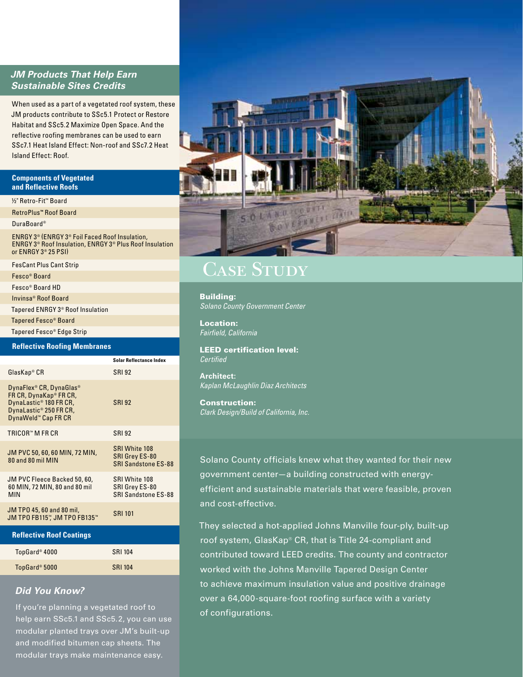### *JM Products That Help Earn Sustainable Sites Credits*

When used as a part of a vegetated roof system, these JM products contribute to SSc5.1 Protect or Restore Habitat and SSc5.2 Maximize Open Space. And the reflective roofing membranes can be used to earn SSc7.1 Heat Island Effect: Non-roof and SSc7.2 Heat Island Effect: Roof.

#### **Components of Vegetated and Reflective Roofs**

½" Retro-Fit™ Board

RetroPlus**™** Roof Board

DuraBoard®

ENRGY 3® (ENRGY 3® Foil Faced Roof Insulation, ENRGY 3® Roof Insulation, ENRGY 3® Plus Roof Insulation or ENRGY 3® 25 PSI)

FesCant Plus Cant Strip

Fesco® Board

Fesco® Board HD

Invinsa® Roof Board

Tapered ENRGY 3® Roof Insulation

Tapered Fesco® Board

Tapered Fesco® Edge Strip

#### **Reflective Roofing Membranes**

|                                                                                                                                          | <b>Solar Reflectance Index</b>                                |
|------------------------------------------------------------------------------------------------------------------------------------------|---------------------------------------------------------------|
| GlasKap <sup>®</sup> CR                                                                                                                  | <b>SRI92</b>                                                  |
| DynaFlex® CR, DynaGlas®<br>FR CR, DynaKap® FR CR,<br>DynaLastic® 180 FR CR,<br>DynaLastic® 250 FR CR,<br>DynaWeld <sup>™</sup> Cap FR CR | <b>SRI92</b>                                                  |
| TRICOR™ M FR CR                                                                                                                          | <b>SRI92</b>                                                  |
| JM PVC 50, 60, 60 MIN, 72 MIN,<br>80 and 80 mil MIN                                                                                      | SRI White 108<br>SRI Grey ES-80<br><b>SRI Sandstone ES-88</b> |
| JM PVC Fleece Backed 50, 60,<br>60 MIN, 72 MIN, 80 and 80 mil<br><b>MIN</b>                                                              | SRI White 108<br>SRI Grey ES-80<br><b>SRI Sandstone ES-88</b> |
| JM TPO 45, 60 and 80 mil,<br>JM TPO FB115™, JM TPO FB135™                                                                                | <b>SRI 101</b>                                                |
| <b>Reflective Roof Coatings</b>                                                                                                          |                                                               |
| TopGard <sup>®</sup> 4000                                                                                                                | <b>SRI 104</b>                                                |
| TopGard <sup>®</sup> 5000                                                                                                                | <b>SRI 104</b>                                                |

### *Did You Know?*

If you're planning a vegetated roof to help earn SSc5.1 and SSc5.2, you can use modular planted trays over JM's built-up and modified bitumen cap sheets. The modular trays make maintenance easy.



## Case Study

Building: *Solano County Government Center*

Location: *Fairfield, California*

LEED certification level: *Certified*

**Architect:** *Kaplan McLaughlin Diaz Architects*

Construction: *Clark Design/Build of California, Inc.*

Solano County officials knew what they wanted for their new government center—a building constructed with energyefficient and sustainable materials that were feasible, proven and cost-effective.

They selected a hot-applied Johns Manville four-ply, built-up roof system, GlasKap® CR, that is Title 24-compliant and contributed toward LEED credits. The county and contractor worked with the Johns Manville Tapered Design Center to achieve maximum insulation value and positive drainage over a 64,000-square-foot roofing surface with a variety of configurations.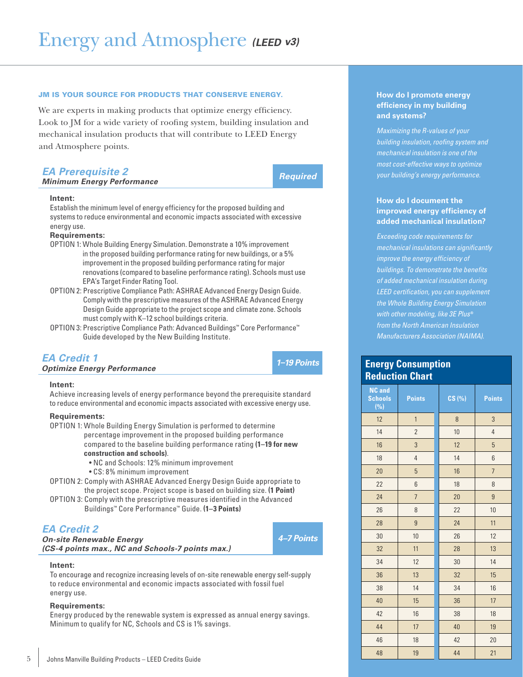#### JM is your source for products that conserve energy.

We are experts in making products that optimize energy efficiency. Look to JM for a wide variety of roofing system, building insulation and mechanical insulation products that will contribute to LEED Energy and Atmosphere points.

### *EA Prerequisite 2*

| LA I IGIGYUISILG 4                | Required |
|-----------------------------------|----------|
| <b>Minimum Energy Performance</b> |          |

#### **Intent:**

Establish the minimum level of energy efficiency for the proposed building and systems to reduce environmental and economic impacts associated with excessive energy use.

#### **Requirements:**

- OPTION 1: Whole Building Energy Simulation. Demonstrate a 10% improvement in the proposed building performance rating for new buildings, or a 5% improvement in the proposed building performance rating for major renovations (compared to baseline performance rating). Schools must use EPA's Target Finder Rating Tool.
- OPTION 2: Prescriptive Compliance Path: ASHRAE Advanced Energy Design Guide. Comply with the prescriptive measures of the ASHRAE Advanced Energy Design Guide appropriate to the project scope and climate zone. Schools must comply with K–12 school buildings criteria.
- OPTION 3: Prescriptive Compliance Path: Advanced Buildings™ Core Performance™ Guide developed by the New Building Institute.

#### *EA Credit 1*

| LA VIGUIL                   | $\blacksquare$ 1–19 Points |
|-----------------------------|----------------------------|
| Optimize Energy Performance |                            |

*4–7 Points*

#### **Intent:**

Achieve increasing levels of energy performance beyond the prerequisite standard to reduce environmental and economic impacts associated with excessive energy use.

#### **Requirements:**

OPTION 1: Whole Building Energy Simulation is performed to determine

- percentage improvement in the proposed building performance compared to the baseline building performance rating **(1–19 for new construction and schools)**.
- NC and Schools: 12% minimum improvement
- CS: 8% minimum improvement
- OPTION 2: Comply with ASHRAE Advanced Energy Design Guide appropriate to the project scope. Project scope is based on building size. **(1 Point)**
- OPTION 3: Comply with the prescriptive measures identified in the Advanced Buildings™ Core Performance™ Guide. **(1–3 Points)**

### *EA Credit 2*

*On-site Renewable Energy (CS-4 points max., NC and Schools-7 points max.)*

#### **Intent:**

To encourage and recognize increasing levels of on-site renewable energy self-supply to reduce environmental and economic impacts associated with fossil fuel energy use.

#### **Requirements:**

Energy produced by the renewable system is expressed as annual energy savings. Minimum to qualify for NC, Schools and CS is 1% savings.

*Maximizing the R-values of your building insulation, roofing system and mechanical insulation is one of the most cost-effective ways to optimize your building's energy performance.*

#### **How do I document the improved energy efficiency of added mechanical insulation?**

*Exceeding code requirements for mechanical insulations can significantly improve the energy efficiency of buildings. To demonstrate the benefits of added mechanical insulation during LEED certification, you can supplement the Whole Building Energy Simulation with other modeling, like 3E Plus***®** *from the North American Insulation Manufacturers Association (NAIMA).*

### **Energy Consumption Reduction Chart**

| <b>NC</b> and<br><b>Schools</b><br>(%) | <b>Points</b>  | $CS($ %) | <b>Points</b>  |
|----------------------------------------|----------------|----------|----------------|
| 12                                     | $\overline{1}$ | 8        | 3              |
| 14                                     | $\overline{2}$ | 10       | $\overline{4}$ |
| 16                                     | 3              | 12       | 5              |
| 18                                     | $\overline{4}$ | 14       | 6              |
| 20                                     | 5              | 16       | $\overline{7}$ |
| 22                                     | 6              | 18       | 8              |
| 24                                     | $\overline{7}$ | 20       | 9              |
| 26                                     | 8              | 22       | 10             |
| 28                                     | 9              | 24       | 11             |
| 30                                     | 10             | 26       | 12             |
| 32                                     | 11             | 28       | 13             |
| 34                                     | 12             | 30       | 14             |
| 36                                     | 13             | 32       | 15             |
| 38                                     | 14             | 34       | 16             |
| 40                                     | 15             | 36       | 17             |
| 42                                     | 16             | 38       | 18             |
| 44                                     | 17             | 40       | 19             |
| 46                                     | 18             | 42       | 20             |
| 48                                     | 19             | 44       | 21             |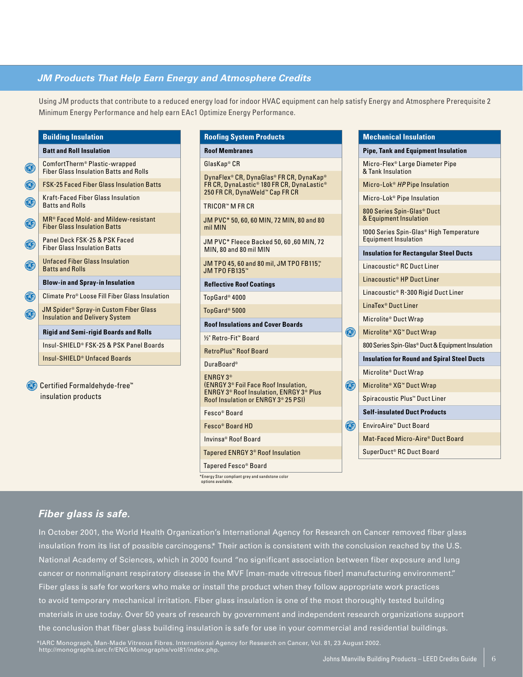### *JM Products That Help Earn Energy and Atmosphere Credits*

Using JM products that contribute to a reduced energy load for indoor HVAC equipment can help satisfy Energy and Atmosphere Prerequisite 2 Minimum Energy Performance and help earn EAc1 Optimize Energy Performance.

#### **Building Insulation**

#### **Batt and Roll Insulation**

- ComfortTherm® Plastic-wrapped 6 Fiber Glass Insulation Batts and Rolls (1)
- FSK-25 Faced Fiber Glass Insulation Batts Kraft-Faced Fiber Glass Insulation
- Batts and Rolls
- MR® Faced Mold- and Mildew-resistant Fiber Glass Insulation Batts
- Panel Deck FSK-25 & PSK Faced (16) Fiber Glass Insulation Batts
- Unfaced Fiber Glass Insulation (1) Batts and Rolls

#### **Blow-in and Spray-in Insulation**

- Climate Pro® Loose Fill Fiber Glass Insulation 48
- JM Spider® Spray-in Custom Fiber Glass 40 Insulation and Delivery System

#### **Rigid and Semi-rigid Boards and Rolls**

Insul-SHIELD® FSK-25 & PSK Panel Boards

Insul-SHIELD® Unfaced Boards

Certified Formaldehyde-free™ insulation products

#### **Roofing System Products**

**Roof Membranes**

GlasKap® CR

DynaFlex® CR, DynaGlas® FR CR, DynaKap® FR CR, DynaLastic® 180 FR CR, DynaLastic® 250 FR CR, DynaWeld™ Cap FR CR

TRICOR™ M FR CR

JM PVC\* 50, 60, 60 MIN, 72 MIN, 80 and 80 mil MIN

JM PVC\* Fleece Backed 50, 60 ,60 MIN, 72 MIN, 80 and 80 mil MIN

JM TPO 45, 60 and 80 mil, JM TPO FB115™ JM TPO FB135

#### **Reflective Roof Coatings**

TopGard® 4000

TopGard® 5000

#### **Roof Insulations and Cover Boards**

½" Retro-Fit™ Board

RetroPlus™ Roof Board

DuraBoard®

```
ENRGY 3®
(ENRGY 3® Foil Face Roof Insulation,
ENRGY 3® Roof Insulation, ENRGY 3® Plus 
Roof Insulation or ENRGY 3® 25 PSI)
```
Fesco® Board

Fesco® Board HD

Invinsa® Roof Board

Tapered ENRGY 3® Roof Insulation

#### Tapered Fesco® Board

\*Energy Star compliant grey and sandstone color options available.

#### **Mechanical Insulation**

**Pipe, Tank and Equipment Insulation**

Micro-Flex® Large Diameter Pipe & Tank Insulation Micro-Lok® *HP* Pipe Insulation Micro-Lok® Pipe Insulation 800 Series Spin-Glas® Duct

& Equipment Insulation

1000 Series Spin-Glas® High Temperature Equipment Insulation

#### **Insulation for Rectangular Steel Ducts**

Linacoustic® RC Duct Liner

Linacoustic® HP Duct Liner

Linacoustic® R-300 Rigid Duct Liner

LinaTex® Duct Liner

Microlite® Duct Wrap

 $\bigoplus$ Microlite® XG™ Duct Wrap

800 Series Spin-Glas® Duct & Equipment Insulation

**Insulation for Round and Spiral Steel Ducts**

- Microlite® Duct Wrap
- $\bigcirc$ Microlite® XG™ Duct Wrap

Spiracoustic Plus™ Duct Liner

- **Self-insulated Duct Products**
- $\bigoplus$ EnviroAire™ Duct Board

Mat-Faced Micro-Aire® Duct Board

SuperDuct<sup>®</sup> RC Duct Board

### *Fiber glass is safe.*

In October 2001, the World Health Organization's International Agency for Research on Cancer removed fiber glass insulation from its list of possible carcinogens.\* Their action is consistent with the conclusion reached by the U.S. National Academy of Sciences, which in 2000 found "no significant association between fiber exposure and lung cancer or nonmalignant respiratory disease in the MVF [man-made vitreous fiber] manufacturing environment." Fiber glass is safe for workers who make or install the product when they follow appropriate work practices to avoid temporary mechanical irritation. Fiber glass insulation is one of the most thoroughly tested building materials in use today. Over 50 years of research by government and independent research organizations support the conclusion that fiber glass building insulation is safe for use in your commercial and residential buildings.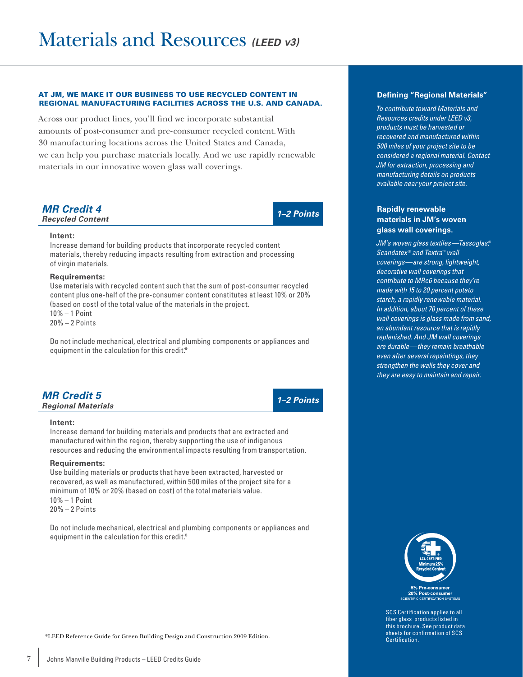#### AT JM, WE MAKE IT OUR BUSINESS TO USE RECYCLED CONTENT IN regional manufacturing facilities across the u.S. and Canada.

Across our product lines, you'll find we incorporate substantial amounts of post-consumer and pre-consumer recycled content.With 30 manufacturing locations across the United States and Canada, we can help you purchase materials locally. And we use rapidly renewable materials in our innovative woven glass wall coverings.

### *MR Credit 4*

*Recycled Content 1–2 Points*

#### **Intent:**

Increase demand for building products that incorporate recycled content materials, thereby reducing impacts resulting from extraction and processing of virgin materials.

#### **Requirements:**

Use materials with recycled content such that the sum of post-consumer recycled content plus one-half of the pre-consumer content constitutes at least 10% or 20% (based on cost) of the total value of the materials in the project.

10% – 1 Point

20% – 2 Points

Do not include mechanical, electrical and plumbing components or appliances and equipment in the calculation for this credit.\*

#### *MR Credit 5 Regional Materials 1–2 Points*

#### **Intent:**

Increase demand for building materials and products that are extracted and manufactured within the region, thereby supporting the use of indigenous resources and reducing the environmental impacts resulting from transportation.

#### **Requirements:**

Use building materials or products that have been extracted, harvested or recovered, as well as manufactured, within 500 miles of the project site for a minimum of 10% or 20% (based on cost) of the total materials value. 10% – 1 Point 20% – 2 Points

Do not include mechanical, electrical and plumbing components or appliances and equipment in the calculation for this credit.\*

#### Certification. \*LEED Reference Guide for Green Building Design and Construction 2009 Edition.

#### **Defining "Regional Materials"**

*To contribute toward Materials and Resources credits under LEED v3, products must be harvested or recovered and manufactured within 500 miles of your project site to be considered a regional material. Contact JM for extraction, processing and manufacturing details on products available near your project site.* 

#### **Rapidly renewable materials in JM's woven glass wall coverings.**

*JM's woven glass textiles—Tassoglas,* ® *Scandatex* ® *and Textra*™ *wall coverings—are strong, lightweight, decorative wall coverings that contribute to MRc6 because they're made with 15 to 20 percent potato starch, a rapidly renewable material. In addition, about 70 percent of these wall coverings is glass made from sand, an abundant resource that is rapidly replenished. And JM wall coverings are durable—they remain breathable even after several repaintings, they strengthen the walls they cover and they are easy to maintain and repair.*



20% Post-consumer SCIENTIFIC CERTIFICATION SYSTEMS

SCS Certification applies to all fiber glass products listed in this brochure. See product data sheets for confirmation of SCS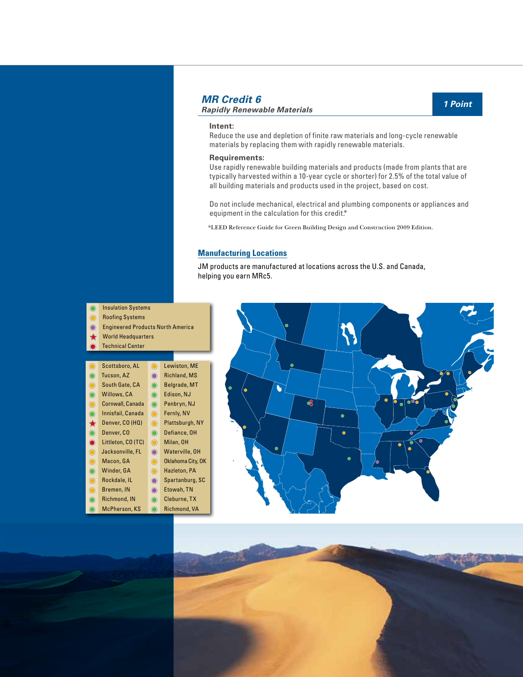#### **Intent:**

Reduce the use and depletion of finite raw materials and long-cycle renewable materials by replacing them with rapidly renewable materials.

#### **Requirements:**

Use rapidly renewable building materials and products (made from plants that are typically harvested within a 10-year cycle or shorter) for 2.5% of the total value of all building materials and products used in the project, based on cost.

Do not include mechanical, electrical and plumbing components or appliances and equipment in the calculation for this credit.\*

\*LEED Reference Guide for Green Building Design and Construction 2009 Edition.

#### **Manufacturing Locations**

JM products are manufactured at locations across the U.S. and Canada, helping you earn MRc5.

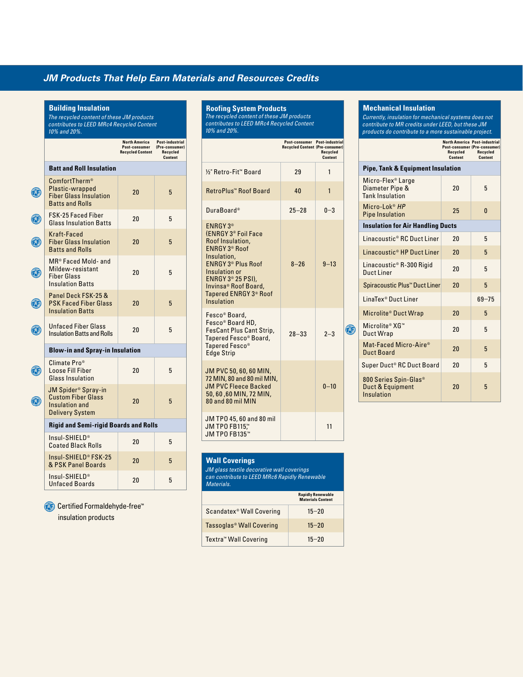### *JM Products That Help Earn Materials and Resources Credits*

#### **Building Insulation**

*The recycled content of these JM products contributes to LEED MRc4 Recycled Content 10% and 20%.*

|                                                                                                          | <b>North America</b><br>Post-consumer<br><b>Recycled Content</b> | <b>Post-industrial</b><br>(Pre-consumer)<br>Recycled<br>Content |
|----------------------------------------------------------------------------------------------------------|------------------------------------------------------------------|-----------------------------------------------------------------|
| <b>Batt and Roll Insulation</b>                                                                          |                                                                  |                                                                 |
| ComfortTherm®<br>Plastic-wrapped<br><b>Fiber Glass Insulation</b><br><b>Batts and Rolls</b>              | 20                                                               | 5                                                               |
| <b>FSK-25 Faced Fiber</b><br><b>Glass Insulation Batts</b>                                               | 20                                                               | 5                                                               |
| Kraft-Faced<br><b>Fiber Glass Insulation</b><br><b>Batts and Rolls</b>                                   | 20                                                               | 5                                                               |
| MR <sup>®</sup> Faced Mold- and<br>Mildew-resistant<br><b>Fiber Glass</b><br><b>Insulation Batts</b>     | 20                                                               | 5                                                               |
| Panel Deck FSK-25 &<br><b>PSK Faced Fiber Glass</b><br><b>Insulation Batts</b>                           | 20                                                               | 5                                                               |
| <b>Unfaced Fiber Glass</b><br><b>Insulation Batts and Rolls</b>                                          | 20                                                               | 5                                                               |
| <b>Blow-in and Spray-in Insulation</b>                                                                   |                                                                  |                                                                 |
| Climate Pro <sup>®</sup><br>Loose Fill Fiber<br><b>Glass Insulation</b>                                  | 20                                                               | 5                                                               |
| JM Spider <sup>®</sup> Spray-in<br><b>Custom Fiber Glass</b><br>Insulation and<br><b>Delivery System</b> | 20                                                               | 5                                                               |
| <b>Rigid and Semi-rigid Boards and Rolls</b>                                                             |                                                                  |                                                                 |
| Insul-SHIELD®<br><b>Coated Black Rolls</b>                                                               | 20                                                               | 5                                                               |
| Insul-SHIELD® FSK-25<br>& PSK Panel Boards                                                               | 20                                                               | 5                                                               |
| Insul-SHIELD®<br><b>Unfaced Boards</b>                                                                   | 20                                                               | 5                                                               |
|                                                                                                          |                                                                  |                                                                 |

Certified Formaldehyde-free™ insulation products

#### **Roofing System Products**

*The recycled content of these JM products contributes to LEED MRc4 Recycled Content 10% and 20%.*

|                                                                                                                                                                                                                                                                                                               | Post-consumer<br><b>Recycled Content (Pre-consumer)</b> | <b>Post-industrial</b><br>Recvcled<br>Content |  |
|---------------------------------------------------------------------------------------------------------------------------------------------------------------------------------------------------------------------------------------------------------------------------------------------------------------|---------------------------------------------------------|-----------------------------------------------|--|
| 1/2" Retro-Fit™ Board                                                                                                                                                                                                                                                                                         | 29                                                      | 1                                             |  |
| <b>RetroPlus™ Roof Board</b>                                                                                                                                                                                                                                                                                  | 40                                                      | 1                                             |  |
| DuraBoard®                                                                                                                                                                                                                                                                                                    | $25 - 28$                                               | $0 - 3$                                       |  |
| <b>ENRGY 3®</b><br>(ENRGY 3 <sup>®</sup> Foil Face<br>Roof Insulation,<br><b>ENRGY 3<sup>®</sup> Roof</b><br>Insulation,<br><b>ENRGY 3<sup>®</sup> Plus Roof</b><br><b>Insulation or</b><br>ENRGY $3^{\circ}$ 25 PSI).<br>Invinsa <sup>®</sup> Roof Board,<br>Tapered ENRGY 3 <sup>®</sup> Roof<br>Insulation | $8 - 26$                                                | $9 - 13$                                      |  |
| Fesco <sup>®</sup> Board,<br>Fesco <sup>®</sup> Board HD,<br><b>FesCant Plus Cant Strip,</b><br>Tapered Fesco <sup>®</sup> Board,<br>Tapered Fesco <sup>®</sup><br><b>Edge Strip</b>                                                                                                                          | $28 - 33$                                               | $2 - 3$                                       |  |
| JM PVC 50, 60, 60 MIN,<br>72 MIN, 80 and 80 mil MIN,<br><b>JM PVC Fleece Backed</b><br>50.60.60 MIN.72 MIN.<br>80 and 80 mil MIN                                                                                                                                                                              |                                                         | $0 - 10$                                      |  |
| JM TPO 45, 60 and 80 mil<br><b>JM TPO FB115</b> ™<br><b>JM TPO FB135™</b>                                                                                                                                                                                                                                     |                                                         | 11                                            |  |

#### **Wall Coverings**

*JM glass textile decorative wall coverings can contribute to LEED MRc6 Rapidly Renewable* 

| Materials.                           |                                                      |
|--------------------------------------|------------------------------------------------------|
|                                      | <b>Rapidly Renewable</b><br><b>Materials Content</b> |
| Scandatex <sup>®</sup> Wall Covering | $15 - 20$                                            |
| Tassoglas® Wall Covering             | $15 - 20$                                            |
| Textra™ Wall Covering                | $15 - 20$                                            |

#### **Mechanical Insulation**

*Currently, insulation for mechanical systems does not contribute to MR credits under LEED, but these JM products do contribute to a more sustainable project.*

|                                                                            | Recycled<br>Content | <b>North America Post-industrial</b><br><b>Post-consumer (Pre-consumer)</b><br>Recycled<br>Content |
|----------------------------------------------------------------------------|---------------------|----------------------------------------------------------------------------------------------------|
| <b>Pipe, Tank &amp; Equipment Insulation</b>                               |                     |                                                                                                    |
| Micro-Flex <sup>®</sup> Large<br>Diameter Pipe &<br><b>Tank Insulation</b> | 20                  | 5                                                                                                  |
| Micro-Lok <sup>®</sup> HP<br><b>Pipe Insulation</b>                        | 25                  | $\mathbf{0}$                                                                                       |
| <b>Insulation for Air Handling Ducts</b>                                   |                     |                                                                                                    |
| Linacoustic® RC Duct Liner                                                 | 20                  | 5                                                                                                  |
| Linacoustic <sup>®</sup> HP Duct Liner                                     | 20                  | 5                                                                                                  |
| Linacoustic® R-300 Rigid<br>Duct Liner                                     | 20                  | 5                                                                                                  |
| Spiracoustic Plus™ Duct Liner                                              | 20                  | 5                                                                                                  |
| LinaTex <sup>®</sup> Duct Liner                                            |                     | $69 - 75$                                                                                          |
| Microlite <sup>®</sup> Duct Wrap                                           | 20                  | 5                                                                                                  |
| Microlite® XG™<br>Duct Wrap                                                | 20                  | 5                                                                                                  |
| Mat-Faced Micro-Aire®<br>Duct Board                                        | 20                  | 5                                                                                                  |
| Super Duct <sup>®</sup> RC Duct Board                                      | 20                  | 5                                                                                                  |
| 800 Series Spin-Glas <sup>®</sup><br>Duct & Equipment<br>Insulation        | 20                  | 5                                                                                                  |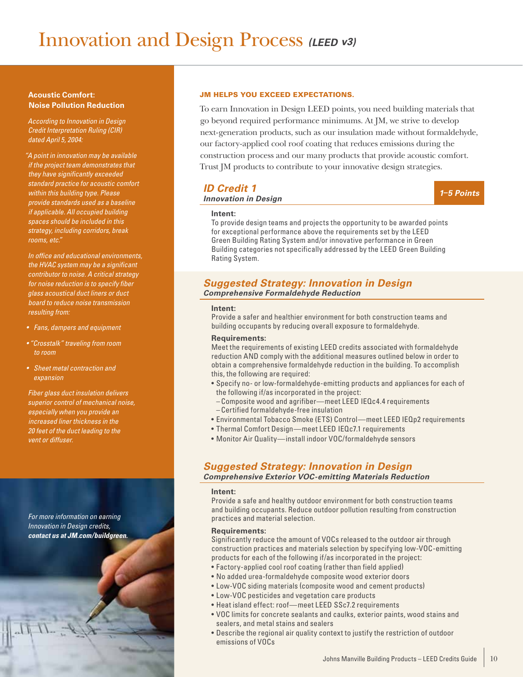#### **Acoustic Comfort: Noise Pollution Reduction**

*According to Innovation in Design Credit Interpretation Ruling (CIR) dated April 5, 2004:*

*"A point in innovation may be available if the project team demonstrates that they have significantly exceeded standard practice for acoustic comfort within this building type. Please provide standards used as a baseline if applicable. All occupied building spaces should be included in this strategy, including corridors, break rooms, etc."*

*In office and educational environments, the HVAC system may be a significant contributor to noise. A critical strategy for noise reduction is to specify fiber glass acoustical duct liners or duct board to reduce noise transmission resulting from:*

- Fans, dampers and equipment
- • *"Crosstalk" traveling from room to room*
- • Sheet metal contraction and *expansion*

*Fiber glass duct insulation delivers superior control of mechanical noise, especially when you provide an increased liner thickness in the 20 feet of the duct leading to the vent or diffuser.*

*For more information on earning Innovation in Design credits, contact us at JM.com/buildgreen.*

#### JM helps you exceed expectations.

To earn Innovation in Design LEED points, you need building materials that go beyond required performance minimums. At JM, we strive to develop next-generation products, such as our insulation made without formaldehyde, our factory-applied cool roof coating that reduces emissions during the construction process and our many products that provide acoustic comfort. Trust JM products to contribute to your innovative design strategies.

## *ID Credit 1*

### *Innovation in Design 1–5 Points*

#### **Intent:**

To provide design teams and projects the opportunity to be awarded points for exceptional performance above the requirements set by the LEED Green Building Rating System and/or innovative performance in Green Building categories not specifically addressed by the LEED Green Building Rating System.

#### *Suggested Strategy: Innovation in Design Comprehensive Formaldehyde Reduction*

#### **Intent:**

Provide a safer and healthier environment for both construction teams and building occupants by reducing overall exposure to formaldehyde.

#### **Requirements:**

Meet the requirements of existing LEED credits associated with formaldehyde reduction AND comply with the additional measures outlined below in order to obtain a comprehensive formaldehyde reduction in the building. To accomplish this, the following are required:

- Specify no- or low-formaldehyde-emitting products and appliances for each of the following if/as incorporated in the project:
- Composite wood and agrifiber—meet LEED IEQc4.4 requirements – Certified formaldehyde-free insulation
- Environmental Tobacco Smoke (ETS) Control—meet LEED IEQp2 requirements
- Thermal Comfort Design—meet LEED IEQc7.1 requirements
- Monitor Air Quality—install indoor VOC/formaldehyde sensors

### *Suggested Strategy: Innovation in Design*

*Comprehensive Exterior VOC-emitting Materials Reduction*

#### **Intent:**

Provide a safe and healthy outdoor environment for both construction teams and building occupants. Reduce outdoor pollution resulting from construction practices and material selection.

#### **Requirements:**

Significantly reduce the amount of VOCs released to the outdoor air through construction practices and materials selection by specifying low-VOC-emitting products for each of the following if/as incorporated in the project:

- Factory-applied cool roof coating (rather than field applied)
- No added urea-formaldehyde composite wood exterior doors
- Low-VOC siding materials (composite wood and cement products)
- Low-VOC pesticides and vegetation care products
- Heat island effect: roof—meet LEED SSc7.2 requirements
- VOC limits for concrete sealants and caulks, exterior paints, wood stains and sealers, and metal stains and sealers
- Describe the regional air quality context to justify the restriction of outdoor emissions of VOCs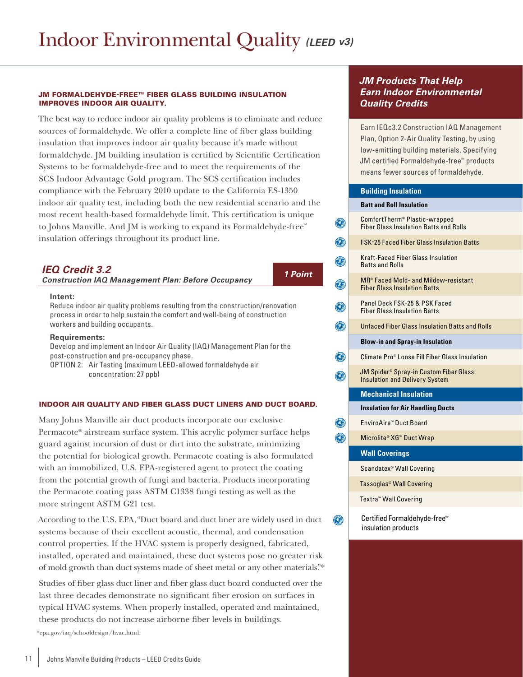#### JM Formaldehyde-free**™** fiber glass building insulation improves indoor air quality.

The best way to reduce indoor air quality problems is to eliminate and reduce sources of formaldehyde. We offer a complete line of fiber glass building insulation that improves indoor air quality because it's made without formaldehyde. JM building insulation is certified by Scientific Certification Systems to be formaldehyde-free and to meet the requirements of the SCS Indoor Advantage Gold program. The SCS certification includes compliance with the February 2010 update to the California ES-1350 indoor air quality test, including both the new residential scenario and the most recent health-based formaldehyde limit. This certification is unique to Johns Manville. And JM is working to expand its Formaldehyde-free™ insulation offerings throughout its product line.

| <b>IEQ Credit 3.2</b><br><b>Construction IAQ Management Plan: Before Occupancy</b>                                                                                                                                                               | 1 Point |
|--------------------------------------------------------------------------------------------------------------------------------------------------------------------------------------------------------------------------------------------------|---------|
| Intent:<br>Reduce indoor air quality problems resulting from the construction/renovation<br>process in order to help sustain the comfort and well-being of construction<br>workers and building occupants.                                       |         |
| <b>Requirements:</b><br>Develop and implement an Indoor Air Quality (IAQ) Management Plan for the<br>post-construction and pre-occupancy phase.<br><b>OPTION 2:</b> Air Testing (maximum LEED-allowed formaldehyde air<br>concentration: 27 ppb) |         |

#### indoor air quality and Fiber glass duct liners and duct board.

Many Johns Manville air duct products incorporate our exclusive Permacote® airstream surface system. This acrylic polymer surface helps guard against incursion of dust or dirt into the substrate, minimizing the potential for biological growth. Permacote coating is also formulated with an immobilized, U.S. EPA-registered agent to protect the coating from the potential growth of fungi and bacteria. Products incorporating the Permacote coating pass ASTM C1338 fungi testing as well as the more stringent ASTM G21 test.

According to the U.S. EPA,"Duct board and duct liner are widely used in duct systems because of their excellent acoustic, thermal, and condensation control properties. If the HVAC system is properly designed, fabricated, installed, operated and maintained, these duct systems pose no greater risk of mold growth than duct systems made of sheet metal or any other materials."\*

Studies of fiber glass duct liner and fiber glass duct board conducted over the last three decades demonstrate no significant fiber erosion on surfaces in typical HVAC systems. When properly installed, operated and maintained, these products do not increase airborne fiber levels in buildings.

\*epa.gov/iaq/schooldesign/hvac.html.

### *JM Products That Help Earn Indoor Environmental Quality Credits*

Earn IEQc3.2 Construction IAQ Management Plan, Option 2-Air Quality Testing, by using low-emitting building materials. Specifying JM certified Formaldehyde-free™ products means fewer sources of formaldehyde.

|   | <b>Building Insulation</b>                                                                        |
|---|---------------------------------------------------------------------------------------------------|
|   | <b>Batt and Roll Insulation</b>                                                                   |
| Ħ | ComfortTherm <sup>®</sup> Plastic-wrapped<br><b>Fiber Glass Insulation Batts and Rolls</b>        |
| C | <b>FSK-25 Faced Fiber Glass Insulation Batts</b>                                                  |
|   | Kraft-Faced Fiber Glass Insulation<br><b>Batts and Rolls</b>                                      |
| Œ | MR <sup>®</sup> Faced Mold- and Mildew-resistant<br><b>Fiber Glass Insulation Batts</b>           |
| Ĵ | Panel Deck FSK-25 & PSK Faced<br><b>Fiber Glass Insulation Batts</b>                              |
| 3 | Unfaced Fiber Glass Insulation Batts and Rolls                                                    |
|   | <b>Blow-in and Spray-in Insulation</b>                                                            |
| £ | Climate Pro <sup>®</sup> Loose Fill Fiber Glass Insulation                                        |
|   | <b>JM Spider<sup>®</sup> Spray-in Custom Fiber Glass</b><br><b>Insulation and Delivery System</b> |
|   | <b>Mechanical Insulation</b>                                                                      |
|   | <b>Insulation for Air Handling Ducts</b>                                                          |
|   | EnviroAire™ Duct Board                                                                            |
| Ã | Microlite® XG™ Duct Wrap                                                                          |
|   | <b>Wall Coverings</b>                                                                             |
|   | Scandatex <sup>®</sup> Wall Covering                                                              |
|   | Tassoglas <sup>®</sup> Wall Covering                                                              |
|   | Textra™ Wall Covering                                                                             |
| Æ | Certified Formaldehyde-free™                                                                      |

> Certified Formaldehyde-free insulation products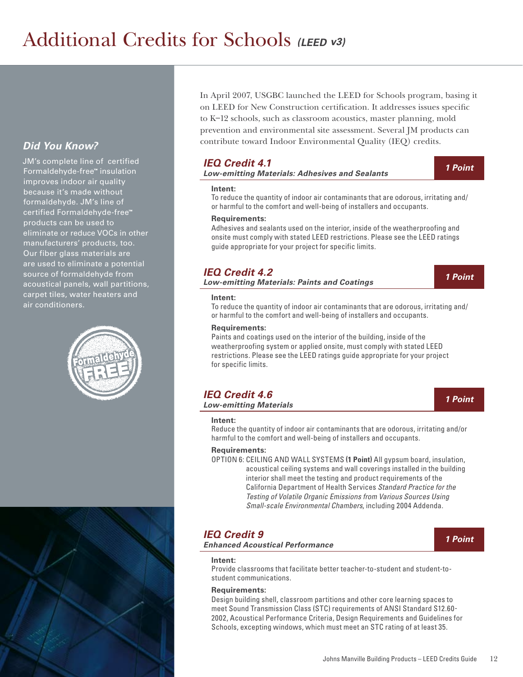### *Did You Know?*

JM's complete line of certified Formaldehyde-free™ insulation improves indoor air quality because it's made without formaldehyde. JM's line of certified Formaldehyde-free™ products can be used to eliminate or reduce VOCs in other manufacturers' products, too. Our fiber glass materials are are used to eliminate a potential source of formaldehyde from acoustical panels, wall partitions, carpet tiles, water heaters and air conditioners.





In April 2007, USGBC launched the LEED for Schools program, basing it on LEED for New Construction certification. It addresses issues specific to K–12 schools, such as classroom acoustics, master planning, mold prevention and environmental site assessment. Several JM products can contribute toward Indoor Environmental Quality (IEQ) credits.

### *IEQ Credit 4.1*

### *Low-emitting Materials: Adhesives and Sealants 1 Point*

#### **Intent:**

To reduce the quantity of indoor air contaminants that are odorous, irritating and/ or harmful to the comfort and well-being of installers and occupants.

#### **Requirements:**

Adhesives and sealants used on the interior, inside of the weatherproofing and onsite must comply with stated LEED restrictions. Please see the LEED ratings guide appropriate for your project for specific limits.

| <b>IEQ Credit 4.2</b>                              | 1 Point |
|----------------------------------------------------|---------|
| <b>Low-emitting Materials: Paints and Coatings</b> |         |

#### **Intent:**

To reduce the quantity of indoor air contaminants that are odorous, irritating and/ or harmful to the comfort and well-being of installers and occupants.

#### **Requirements:**

Paints and coatings used on the interior of the building, inside of the weatherproofing system or applied onsite, must comply with stated LEED restrictions. Please see the LEED ratings guide appropriate for your project for specific limits.

#### *IEQ Credit 4.6 Low-emitting Materials 1 Point*

#### **Intent:**

Reduce the quantity of indoor air contaminants that are odorous, irritating and/or harmful to the comfort and well-being of installers and occupants.

#### **Requirements:**

OPTION 6: CEILING AND WALL SYSTEMS **(1 Point)** All gypsum board, insulation, acoustical ceiling systems and wall coverings installed in the building interior shall meet the testing and product requirements of the California Department of Health Services *Standard Practice for the Testing of Volatile Organic Emissions from Various Sources Using Small-scale Environmental Chambers*, including 2004 Addenda.

### *IEQ Credit 9*

*Enhanced Acoustical Performance 1 Point*

#### **Intent:**

Provide classrooms that facilitate better teacher-to-student and student-tostudent communications.

#### **Requirements:**

Design building shell, classroom partitions and other core learning spaces to meet Sound Transmission Class (STC) requirements of ANSI Standard S12.60- 2002, Acoustical Performance Criteria, Design Requirements and Guidelines for Schools, excepting windows, which must meet an STC rating of at least 35.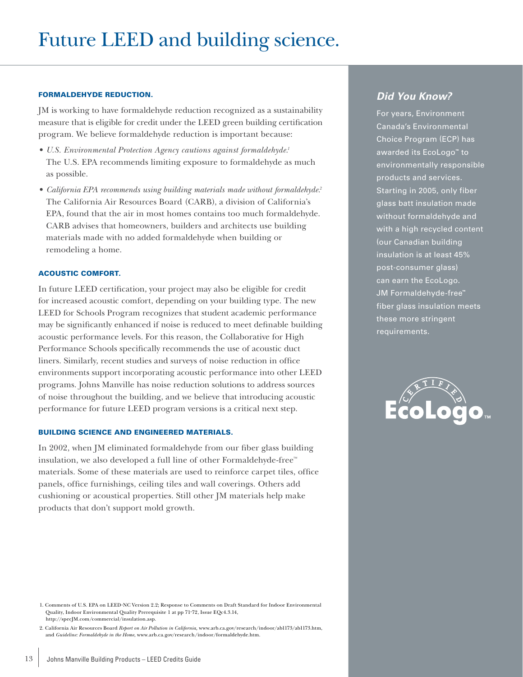#### Formaldehyde reduction.

JM is working to have formaldehyde reduction recognized as a sustainability measure that is eligible for credit under the LEED green building certification program. We believe formaldehyde reduction is important because:

- *• U.S. Environmental Protection Agency cautions against formaldehyde.<sup>1</sup>* The U.S. EPA recommends limiting exposure to formaldehyde as much as possible.
- *• California EPA recommends using building materials made without formaldehyde.<sup>2</sup>* The California Air Resources Board (CARB), a division of California's EPA, found that the air in most homes contains too much formaldehyde. CARB advises that homeowners, builders and architects use building materials made with no added formaldehyde when building or remodeling a home.

#### Acoustic comfort.

In future LEED certification, your project may also be eligible for credit for increased acoustic comfort, depending on your building type. The new LEED for Schools Program recognizes that student academic performance may be significantly enhanced if noise is reduced to meet definable building acoustic performance levels. For this reason, the Collaborative for High Performance Schools specifically recommends the use of acoustic duct liners. Similarly, recent studies and surveys of noise reduction in office environments support incorporating acoustic performance into other LEED programs. Johns Manville has noise reduction solutions to address sources of noise throughout the building, and we believe that introducing acoustic performance for future LEED program versions is a critical next step.

#### Building science and engineered materials.

In 2002, when JM eliminated formaldehyde from our fiber glass building insulation, we also developed a full line of other Formaldehyde-free™ materials. Some of these materials are used to reinforce carpet tiles, office panels, office furnishings, ceiling tiles and wall coverings. Others add cushioning or acoustical properties. Still other JM materials help make products that don't support mold growth.

2. California Air Resources Board *Report on Air Pollution in California,* www.arb.ca.gov/research/indoor/ab1173/ab1173.htm, and *Guideline: Formaldehyde in the Home*, www.arb.ca.gov/research/indoor/formaldehyde.htm.

### *Did You Know?*

For years, Environment Canada's Environmental Choice Program (ECP) has awarded its EcoLogo™ to environmentally responsible products and services. Starting in 2005, only fiber glass batt insulation made without formaldehyde and with a high recycled content (our Canadian building insulation is at least 45% post-consumer glass) can earn the EcoLogo. JM Formaldehyde-free™ fiber glass insulation meets these more stringent requirements.



<sup>1.</sup> Comments of U.S. EPA on LEED-NC Version 2.2; Response to Comments on Draft Standard for Indoor Environmental Quality, Indoor Environmental Quality Prerequisite 1 at pp 71-72, Issue EQc4.3.14, http://specJM.com/commercial/insulation.asp.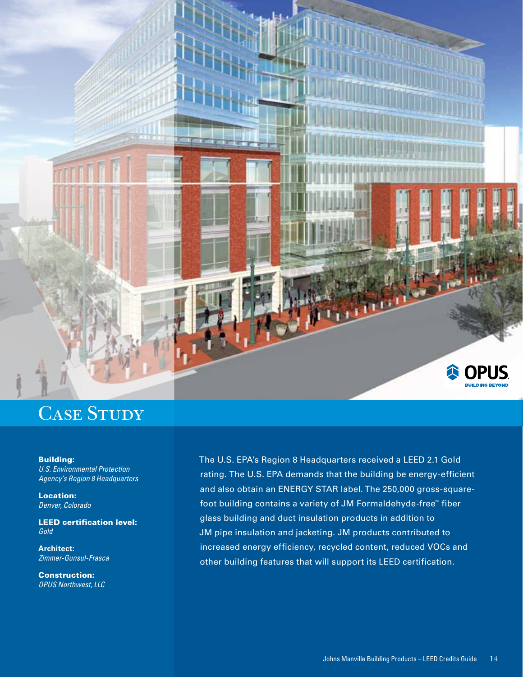

## **CASE STUDY**

#### Building:

*U.S. Environmental Protection Agency's Region 8 Headquarters*

Location: *Denver, Colorado*

LEED certification level: *Gold*

**Architect:** *Zimmer-Gunsul-Frasca*

Construction: *OPUS Northwest, LLC* The U.S. EPA's Region 8 Headquarters received a LEED 2.1 Gold rating. The U.S. EPA demands that the building be energy-efficient and also obtain an ENERGY STAR label. The 250,000 gross-squarefoot building contains a variety of JM Formaldehyde-free**™** fiber glass building and duct insulation products in addition to JM pipe insulation and jacketing. JM products contributed to increased energy efficiency, recycled content, reduced VOCs and other building features that will support its LEED certification.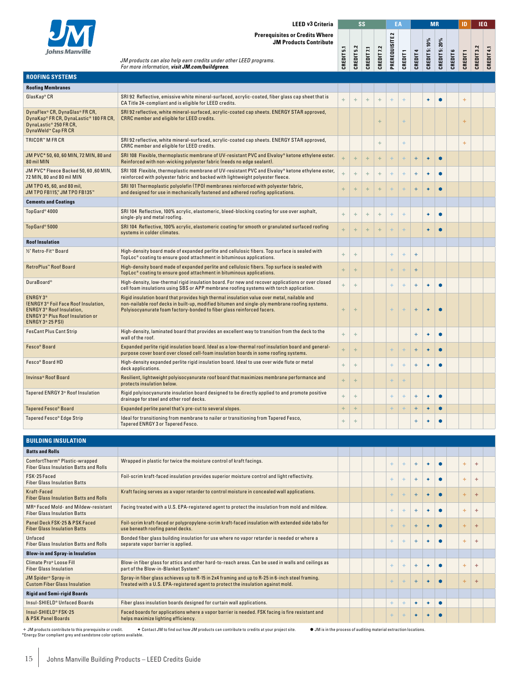| lohns Manville |
|----------------|

| <b>LEED v3 Criteria</b> | ч. |  |  |
|-------------------------|----|--|--|

| Johns Manville                                                                                                                                                                                           | <b>Prerequisites or Credits Where</b><br><b>JM Products Contribute</b>                                                                                                                                                                                                  | 51            |                  |               |                  | <b>PREREQUISITE2</b> |           |                          |               |               |         |                |                  |                  |
|----------------------------------------------------------------------------------------------------------------------------------------------------------------------------------------------------------|-------------------------------------------------------------------------------------------------------------------------------------------------------------------------------------------------------------------------------------------------------------------------|---------------|------------------|---------------|------------------|----------------------|-----------|--------------------------|---------------|---------------|---------|----------------|------------------|------------------|
|                                                                                                                                                                                                          | JM products can also help earn credits under other LEED programs.<br>For more information, visit JM.com/buildgreen.                                                                                                                                                     | CREDIT!       | <b>CREDIT5.2</b> | CREDIT7.1     | <b>CREDIT7.2</b> |                      | CREDIT1   | CREDIT4                  | CREDIT 5: 10% | CREDIT 5: 20% | CREDIT6 | CREDIT1        | <b>CREDIT3.2</b> | <b>CREDIT4.1</b> |
| <b>ROOFING SYSTEMS</b>                                                                                                                                                                                   |                                                                                                                                                                                                                                                                         |               |                  |               |                  |                      |           |                          |               |               |         |                |                  |                  |
| <b>Roofing Membranes</b>                                                                                                                                                                                 |                                                                                                                                                                                                                                                                         |               |                  |               |                  |                      |           |                          |               |               |         |                |                  |                  |
| GlasKap® CR                                                                                                                                                                                              | SRI 92 Reflective, emissive white mineral-surfaced, acrylic-coated, fiber glass cap sheet that is<br>CA Title 24-compliant and is eligible for LEED credits.                                                                                                            |               | $\frac{1}{2}$    | $\frac{1}{2}$ | +                |                      | ♦         |                          |               |               |         | $\color{red}+$ |                  |                  |
| DynaFlex® CR, DynaGlas® FR CR,<br>DynaKap®FR CR, DynaLastic®180FR CR,<br>DynaLastic® 250 FR CR,<br>DynaWeld™ Cap FR CR                                                                                   | SRI 92 reflective, white mineral-surfaced, acrylic-coated cap sheets. ENERGY STAR approved,<br>CRRC member and eligible for LEED credits.                                                                                                                               |               |                  |               | $\rightarrow$    |                      |           |                          |               |               |         | D              |                  |                  |
| TRICOR™ M FR CR                                                                                                                                                                                          | SRI 92 reflective, white mineral-surfaced, acrylic-coated cap sheets. ENERGY STAR approved,<br>CRRC member and eligible for LEED credits.                                                                                                                               |               |                  |               | +                |                      | $\ddot{}$ |                          |               |               |         | $\color{red}+$ |                  |                  |
| JM PVC* 50, 60, 60 MIN, 72 MIN, 80 and<br>80 mil MIN                                                                                                                                                     | SRI 108 Flexible, thermoplastic membrane of UV-resistant PVC and Elvaloy® ketone ethylene ester.<br>Reinforced with non-wicking polyester fabric (needs no edge sealant).                                                                                               |               |                  |               |                  |                      |           | ♦                        |               |               |         |                |                  |                  |
| JM PVC* Fleece Backed 50, 60, 60 MIN,<br>72 MIN, 80 and 80 mil MIN                                                                                                                                       | SRI 108 Flexible, thermoplastic membrane of UV-resistant PVC and Elvaloy® ketone ethylene ester,<br>reinforced with polyester fabric and backed with lightweight polyester fleece.                                                                                      |               |                  | $\Rightarrow$ | +                |                      | ♦         | *                        | ۰             | ۰             |         |                |                  |                  |
| JM TPO 45, 60, and 80 mil,<br>JM TPO FB115™ JM TPO FB135™                                                                                                                                                | SRI 101 Thermoplastic polyolefin (TPO) membranes reinforced with polyester fabric,<br>and designed for use in mechanically fastened and adhered roofing applications.                                                                                                   |               |                  |               |                  |                      |           | ♦                        |               |               |         |                |                  |                  |
| <b>Cements and Coatings</b>                                                                                                                                                                              |                                                                                                                                                                                                                                                                         |               |                  |               |                  |                      |           |                          |               |               |         |                |                  |                  |
| TopGard <sup>®</sup> 4000                                                                                                                                                                                | SRI 104 Reflective, 100% acrylic, elastomeric, bleed-blocking coating for use over asphalt,<br>single-ply and metal roofing.                                                                                                                                            | +             | ÷                | $\Rightarrow$ | +                | ÷                    | $\ddot{}$ |                          | ۰             | ۰             |         |                |                  |                  |
| TopGard® 5000                                                                                                                                                                                            | SRI 104 Reflective, 100% acrylic, elastomeric coating for smooth or granulated surfaced roofing<br>systems in colder climates.                                                                                                                                          |               |                  |               |                  |                      |           |                          |               |               |         |                |                  |                  |
| <b>Roof Insulation</b>                                                                                                                                                                                   |                                                                                                                                                                                                                                                                         |               |                  |               |                  |                      |           |                          |               |               |         |                |                  |                  |
| 1/2" Retro-Fit™ Board                                                                                                                                                                                    | High-density board made of expanded perlite and cellulosic fibers. Top surface is sealed with<br>TopLoc® coating to ensure good attachment in bituminous applications.                                                                                                  | +             | $\Rightarrow$    |               |                  | D                    | ↟         | $\color{red}^+$          |               |               |         |                |                  |                  |
| RetroPlus™ Roof Board                                                                                                                                                                                    | High-density board made of expanded perlite and cellulosic fibers. Top surface is sealed with<br>TopLoc® coating to ensure good attachment in bituminous applications.                                                                                                  | $\div$        | ⊰                |               |                  |                      |           | $\overline{\phantom{a}}$ |               |               |         |                |                  |                  |
| DuraBoard®                                                                                                                                                                                               | High-density, low-thermal rigid insulation board. For new and recover applications or over closed<br>cell foam insulations using SBS or APP membrane roofing systems with torch application.                                                                            | +             | $\Rightarrow$    |               |                  | $\rightarrow$        | ♦         | +                        | ۰             | ۰             |         |                |                  |                  |
| ENRGY 3 <sup>®</sup><br>(ENRGY 3 <sup>®</sup> Foil Face Roof Insulation,<br><b>ENRGY 3<sup>®</sup> Roof Insulation,</b><br><b>ENRGY 3<sup>®</sup> Plus Roof Insulation or</b><br><b>ENRGY 3® 25 PSI)</b> | Rigid insulation board that provides high thermal insulation value over metal, nailable and<br>non-nailable roof decks in built-up, modified bitumen and single-ply membrane roofing systems.<br>Polyisocyanurate foam factory-bonded to fiber glass reinforced facers. |               |                  |               |                  |                      |           |                          |               |               |         |                |                  |                  |
| <b>FesCant Plus Cant Strip</b>                                                                                                                                                                           | High-density, laminated board that provides an excellent way to transition from the deck to the<br>wall of the roof.                                                                                                                                                    | $\div$        | $\Rightarrow$    |               |                  |                      |           | +                        | ۰             | ۰             |         |                |                  |                  |
| Fesco <sup>®</sup> Board                                                                                                                                                                                 | Expanded perlite rigid insulation board. Ideal as a low-thermal roof insulation board and general-<br>purpose cover board over closed cell-foam insulation boards in some roofing systems.                                                                              | $\div$        | $\Rightarrow$    |               |                  |                      |           | $\rightarrow$            |               | ۰             |         |                |                  |                  |
| Fesco <sup>®</sup> Board HD                                                                                                                                                                              | High-density expanded perlite rigid insulation board. Ideal to use over wide flute or metal<br>deck applications.                                                                                                                                                       | $\div$        | $\Rightarrow$    |               |                  | $\rightarrow$        |           | $\ddotmark$              |               | ۰             |         |                |                  |                  |
| Invinsa <sup>®</sup> Roof Board                                                                                                                                                                          | Resilient, lightweight polyisocyanurate roof board that maximizes membrane performance and<br>protects insulation below.                                                                                                                                                | $\Rightarrow$ | $\Rightarrow$    |               |                  |                      |           |                          |               |               |         |                |                  |                  |
| Tapered ENRGY 3 <sup>®</sup> Roof Insulation                                                                                                                                                             | Rigid polyisocyanurate insulation board designed to be directly applied to and promote positive<br>drainage for steel and other roof decks.                                                                                                                             | $\Rightarrow$ | $\Rightarrow$    |               |                  |                      |           | $\ddotmark$              |               | ۰             |         |                |                  |                  |
| Tapered Fesco <sup>®</sup> Board                                                                                                                                                                         | Expanded perlite panel that's pre-cut to several slopes.                                                                                                                                                                                                                | $\div$        | +                |               |                  | $\rightarrow$        |           | $\ddot{}$                |               |               |         |                |                  |                  |
| Tapered Fesco® Edge Strip                                                                                                                                                                                | Ideal for transitioning from membrane to nailer or transitioning from Tapered Fesco,<br>Tapered ENRGY 3 or Tapered Fesco.                                                                                                                                               | $\div$        |                  |               |                  |                      |           | ✦                        |               |               |         |                |                  |                  |
| <b>BUILDING INSULATION</b>                                                                                                                                                                               |                                                                                                                                                                                                                                                                         |               |                  |               |                  |                      |           |                          |               |               |         |                |                  |                  |
|                                                                                                                                                                                                          |                                                                                                                                                                                                                                                                         |               |                  |               |                  |                      |           |                          |               |               |         |                |                  |                  |
| <b>Batts and Rolls</b><br>ComfortTherm® Plastic-wrapped<br><b>Fiber Glass Insulation Batts and Rolls</b>                                                                                                 | Wrapped in plastic for twice the moisture control of kraft facings.                                                                                                                                                                                                     |               |                  |               |                  | $\rightarrow$        | ♦         | $\color{red}^*$          | ۰             | ۰             |         | *              | ✦                |                  |
| FSK-25 Faced<br><b>Fiber Glass Insulation Batts</b>                                                                                                                                                      | Foil-scrim kraft-faced insulation provides superior moisture control and light reflectivity.                                                                                                                                                                            |               |                  |               |                  | $\rightarrow$        | ♦         | $\color{red}^+$          | ۰             | ó             |         | $\color{red}+$ | ♦                |                  |
| Kraft-Faced<br><b>Fiber Glass Insulation Batts and Rolls</b>                                                                                                                                             | Kraft facing serves as a vapor retarder to control moisture in concealed wall applications.                                                                                                                                                                             |               |                  |               |                  |                      |           | ♦                        |               | ۸             |         | 4              | $\ddot{}$        |                  |
| MR <sup>®</sup> Faced Mold- and Mildew-resistant<br><b>Fiber Glass Insulation Batts</b>                                                                                                                  | Facing treated with a U.S. EPA-registered agent to protect the insulation from mold and mildew.                                                                                                                                                                         |               |                  |               |                  | $\rightarrow$        | ♦         | $\color{red}^+$          | ۰             | ۰             |         | +              | ♦                |                  |
| Panel Deck FSK-25 & PSK Faced<br><b>Fiber Glass Insulation Batts</b>                                                                                                                                     | Foil-scrim kraft-faced or polypropylene-scrim kraft-faced insulation with extended side tabs for<br>use beneath roofing panel decks.                                                                                                                                    |               |                  |               |                  |                      |           | ♦                        |               | O             |         | 4              | $\ddot{}$        |                  |
| Unfaced<br><b>Fiber Glass Insulation Batts and Rolls</b>                                                                                                                                                 | Bonded fiber glass building insulation for use where no vapor retarder is needed or where a<br>separate vapor barrier is applied.                                                                                                                                       |               |                  |               |                  | $\rightarrow$        | ♦         | $\color{red}^+$          | ۰             | ۰             |         | $\color{red}+$ | ♦                |                  |
| <b>Blow-in and Spray-in Insulation</b>                                                                                                                                                                   |                                                                                                                                                                                                                                                                         |               |                  |               |                  |                      |           |                          |               |               |         |                |                  |                  |
| Climate Pro® Loose Fill<br><b>Fiber Glass Insulation</b>                                                                                                                                                 | Blow-in fiber glass for attics and other hard-to-reach areas. Can be used in walls and ceilings as<br>part of the Blow-in-Blanket System®                                                                                                                               |               |                  |               |                  | D                    | ÷         | $\ast$                   | ۰             | ۰             |         | *              | *                |                  |
| JM Spider® Spray-in<br><b>Custom Fiber Glass Insulation</b>                                                                                                                                              | Spray-in fiber glass achieves up to R-15 in 2x4 framing and up to R-25 in 6-inch steel framing.<br>Treated with a U.S. EPA-registered agent to protect the insulation against mold.                                                                                     |               |                  |               |                  |                      |           | ♦                        |               | ۰             |         | $\ddot{}$      | $\bf{+}$         |                  |
| <b>Rigid and Semi-rigid Boards</b>                                                                                                                                                                       |                                                                                                                                                                                                                                                                         |               |                  |               |                  |                      |           |                          |               |               |         |                |                  |                  |

→ JM products contribute to this prerequisite or credit. → Contact JM to find out how JM products can contribute to credits at your project site. ● JM is in the process of auditing material extraction locations.<br>\*Energy S

Insul-SHIELD® Unfaced Boards Fiber glass insulation boards designed for curtain wall applications.

Faced boards for applications where a vapor barrier is needed. FSK facing is fire resistant and  $\ket{\ket{\ast}+\ket{\ast}}$   $\bullet$ 

Insul-SHIELD® FSK-25 & PSK Panel Boards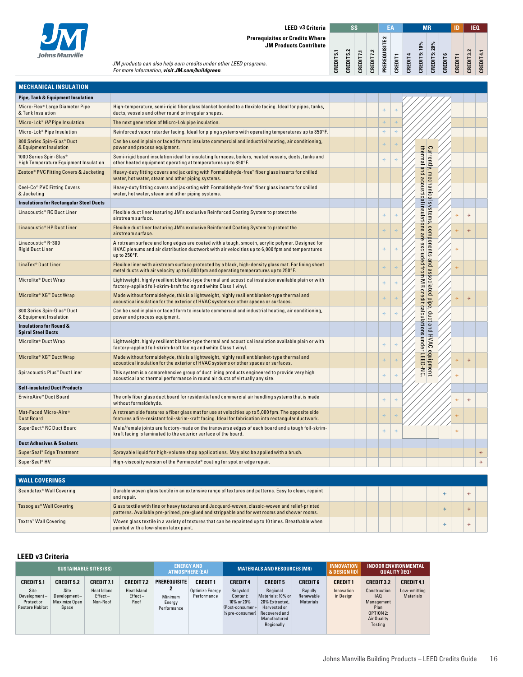

**LEED v3 Criteria** 

**Prerequisites or Credits Where JM Products Contribute**

*JM products can also help earn credits under other LEED programs. For more information, visit JM.com/buildgreen.*

| SS                    |           |           |           |               | EA      |         |               | <b>MR</b>     | ID                  | IE <sub>0</sub> |           |           |
|-----------------------|-----------|-----------|-----------|---------------|---------|---------|---------------|---------------|---------------------|-----------------|-----------|-----------|
| CREDIT <sub>5.1</sub> | CREDIT5.2 | CREDIT7.1 | CREDIT7.2 | PREREQUISITE2 | CREDIT1 | CREDIT4 | CREDIT 5: 10% | CREDIT 5: 20% | CREDIT <sub>6</sub> | CREDIT1         | CREDIT3.2 | CREDIT4.1 |

| <b>MECHANICAL INSULATION</b>                                    |                                                                                                                                                                                                                    |  |                          |  |                                           |                      |                      |                  |   |
|-----------------------------------------------------------------|--------------------------------------------------------------------------------------------------------------------------------------------------------------------------------------------------------------------|--|--------------------------|--|-------------------------------------------|----------------------|----------------------|------------------|---|
| <b>Pipe, Tank &amp; Equipment Insulation</b>                    |                                                                                                                                                                                                                    |  |                          |  |                                           |                      |                      |                  |   |
| Micro-Flex® Large Diameter Pipe<br>& Tank Insulation            | High-temperature, semi-rigid fiber glass blanket bonded to a flexible facing. Ideal for pipes, tanks,<br>ducts, vessels and other round or irregular shapes.                                                       |  |                          |  |                                           |                      |                      |                  |   |
| Micro-Lok <sup>®</sup> HP Pipe Insulation                       | The next generation of Micro-Lok pipe insulation.                                                                                                                                                                  |  |                          |  |                                           |                      |                      |                  |   |
| Micro-Lok <sup>®</sup> Pipe Insulation                          | Reinforced vapor retarder facing. Ideal for piping systems with operating temperatures up to 850°F.                                                                                                                |  | $\overline{\phantom{a}}$ |  |                                           |                      |                      |                  |   |
| 800 Series Spin-Glas® Duct<br>& Equipment Insulation            | Can be used in plain or faced form to insulate commercial and industrial heating, air conditioning,<br>power and process equipment.                                                                                |  |                          |  |                                           |                      |                      |                  |   |
| 1000 Series Spin-Glas®<br>High Temperature Equipment Insulation | Semi-rigid board insulation ideal for insulating furnaces, boilers, heated vessels, ducts, tanks and<br>other heated equipment operating at temperatures up to 850°F.                                              |  |                          |  | thermal<br>Currently, mechanical systems, |                      |                      |                  |   |
| Zeston® PVC Fitting Covers & Jacketing                          | Heavy-duty fitting covers and jacketing with Formaldehyde-free" fiber glass inserts for chilled<br>water, hot water, steam and other piping systems.                                                               |  |                          |  | pue                                       |                      |                      |                  |   |
| Ceel-Co® PVC Fitting Covers<br>& Jacketing                      | Heavy-duty fitting covers and jacketing with Formaldehyde-free" fiber glass inserts for chilled<br>water, hot water, steam and other piping systems.                                                               |  |                          |  |                                           |                      |                      |                  |   |
| <b>Insulations for Rectangular Steel Ducts</b>                  |                                                                                                                                                                                                                    |  |                          |  |                                           |                      |                      |                  |   |
| Linacoustic® RC Duct Liner                                      | Flexible duct liner featuring JM's exclusive Reinforced Coating System to protect the<br>airstream surface.                                                                                                        |  | $\rightarrow$            |  | acoustic al insulations                   |                      |                      | $\ddot{}$        |   |
| Linacoustic® HP Duct Liner                                      | Flexible duct liner featuring JM's exclusive Reinforced Coating System to protect the<br>airstream surface.                                                                                                        |  |                          |  | are                                       |                      |                      |                  |   |
| Linacoustic® R-300<br><b>Rigid Duct Liner</b>                   | Airstream surface and long edges are coated with a tough, smooth, acrylic polymer. Designed for<br>HVAC plenums and air distribution ductwork with air velocities up to 6,000 fpm and temperatures<br>up to 250°F. |  | $\rightarrow$            |  | components<br>excluded from MR            |                      |                      |                  |   |
| LinaTex <sup>®</sup> Duct Liner                                 | Flexible liner with airstream surface protected by a black, high-density glass mat. For lining sheet<br>metal ducts with air velocity up to 6,000 fpm and operating temperatures up to 250°F.                      |  |                          |  | and associated                            |                      |                      |                  |   |
| Microlite® Duct Wrap                                            | Lightweight, highly resilient blanket-type thermal and acoustical insulation available plain or with<br>factory-applied foil-skrim-kraft facing and white Class 1 vinyl.                                           |  |                          |  |                                           |                      |                      |                  |   |
| Microlite® XG™ Duct Wrap                                        | Made without formaldehyde, this is a lightweight, highly resilient blanket-type thermal and<br>acoustical insulation for the exterior of HVAC systems or other spaces or surfaces.                                 |  |                          |  | I pipe,                                   |                      |                      | $\rightarrow$    |   |
| 800 Series Spin-Glas® Duct<br>& Equipment Insulation            | Can be used in plain or faced form to insulate commercial and industrial heating, air conditioning,<br>power and process equipment.                                                                                |  |                          |  | credit calculations                       |                      |                      |                  |   |
| <b>Insulations for Round &amp;</b><br><b>Spiral Steel Ducts</b> |                                                                                                                                                                                                                    |  |                          |  | duct and<br><b>H</b>                      |                      |                      |                  |   |
| Microlite® Duct Wrap                                            | Lightweight, highly resilient blanket-type thermal and acoustical insulation available plain or with<br>factory-applied foil-skrim-kraft facing and white Class 1 vinyl.                                           |  |                          |  | under LEED-NC.<br><b>IVAC</b>             |                      |                      |                  |   |
| Microlite® XG™ Duct Wrap                                        | Made without formaldehyde, this is a lightweight, highly resilient blanket-type thermal and<br>acoustical insulation for the exterior of HVAC systems or other spaces or surfaces.                                 |  |                          |  | equipment                                 |                      |                      | $\rightarrow$    |   |
| Spiracoustic Plus™ Duct Liner                                   | This system is a comprehensive group of duct lining products engineered to provide very high<br>acoustical and thermal performance in round air ducts of virtually any size.                                       |  | $\rightarrow$            |  |                                           |                      |                      |                  |   |
| <b>Self-insulated Duct Products</b>                             |                                                                                                                                                                                                                    |  |                          |  |                                           |                      |                      |                  |   |
| EnviroAire™ Duct Board                                          | The only fiber glass duct board for residential and commercial air handling systems that is made<br>without formaldehyde.                                                                                          |  | $\rightarrow$            |  |                                           |                      |                      | $\ddot{}$        |   |
| Mat-Faced Micro-Aire®<br><b>Duct Board</b>                      | Airstream side features a fiber glass mat for use at velocities up to 5,000 fpm. The opposite side<br>features a fire-resistant foil-skrim-kraft facing. Ideal for fabrication into rectangular ductwork.          |  |                          |  |                                           |                      |                      |                  |   |
| SuperDuct® RC Duct Board                                        | Male/female joints are factory-made on the transverse edges of each board and a tough foil-skrim-<br>kraft facing is laminated to the exterior surface of the board.                                               |  | D                        |  |                                           |                      | $\ddot{\phantom{1}}$ |                  |   |
| <b>Duct Adhesives &amp; Sealants</b>                            |                                                                                                                                                                                                                    |  |                          |  |                                           |                      |                      |                  |   |
| SuperSeal® Edge Treatment                                       | Sprayable liquid for high-volume shop applications. May also be applied with a brush.                                                                                                                              |  |                          |  |                                           |                      |                      |                  | * |
| SuperSeal <sup>®</sup> HV                                       | High-viscosity version of the Permacote® coating for spot or edge repair.                                                                                                                                          |  |                          |  |                                           |                      |                      |                  | 4 |
|                                                                 |                                                                                                                                                                                                                    |  |                          |  |                                           |                      |                      |                  |   |
| <b>WALL COVERINGS</b>                                           |                                                                                                                                                                                                                    |  |                          |  |                                           |                      |                      |                  |   |
| Scandatex <sup>®</sup> Wall Covering                            | Durable woven glass textile in an extensive range of textures and patterns. Easy to clean, repaint<br>and repair.                                                                                                  |  |                          |  |                                           | $\color{red}+$       |                      | $\color{red}+$   |   |
| Tassoglas® Wall Covering                                        | Glass textile with fine or heavy textures and Jacquard-woven, classic-woven and relief-printed<br>patterns. Available pre-primed, pre-glued and strippable and for wet rooms and shower rooms.                     |  |                          |  |                                           | 4                    |                      | +                |   |
| Textra™ Wall Covering                                           | Woven glass textile in a variety of textures that can be repainted up to 10 times. Breathable when<br>painted with a low-sheen latex paint.                                                                        |  |                          |  |                                           | $\ddot{\phantom{1}}$ |                      | $\color{red} \}$ |   |

| Scandatex <sup>®</sup> Wall Covering | Durable woven glass textile in an extensive range of textures and patterns. Easy to clean, repaint<br>and repair.                                                                              |  |  |
|--------------------------------------|------------------------------------------------------------------------------------------------------------------------------------------------------------------------------------------------|--|--|
| Tassoglas® Wall Covering             | Glass textile with fine or heavy textures and Jacquard-woven, classic-woven and relief-printed<br>patterns. Available pre-primed, pre-qlued and strippable and for wet rooms and shower rooms. |  |  |
| Textra™ Wall Covering                | Woven glass textile in a variety of textures that can be repainted up to 10 times. Breathable when<br>painted with a low-sheen latex paint.                                                    |  |  |

#### **LEED v3 Criteria**

|                                                                                   |                                                                            | <b>SUSTAINABLE SITES (SS)</b>                             |                                                       |                                                              | <b>ENERGY AND</b><br><b>ATMOSPHERE (EA)</b>       |                                                                                                        | <b>MATERIALS AND RESOURCES (MR)</b>                                                                                              |                                                             | <b>INNOVATION</b><br>& DESIGN (ID)        | <b>INDOOR ENVIRONMENTAL</b><br><b>QUALITY (IEQ)</b>                                                   |                                                       |  |  |
|-----------------------------------------------------------------------------------|----------------------------------------------------------------------------|-----------------------------------------------------------|-------------------------------------------------------|--------------------------------------------------------------|---------------------------------------------------|--------------------------------------------------------------------------------------------------------|----------------------------------------------------------------------------------------------------------------------------------|-------------------------------------------------------------|-------------------------------------------|-------------------------------------------------------------------------------------------------------|-------------------------------------------------------|--|--|
| <b>CREDIT 5.1</b><br>Site<br>Development-<br>Protect or<br><b>Restore Habitat</b> | <b>CREDIT 5.2</b><br>Site<br>Development-<br><b>Maximize Open</b><br>Space | <b>CREDIT 7.1</b><br>Heat Island<br>$Effect-$<br>Non-Roof | <b>CREDIT 7.2</b><br>Heat Island<br>$Effect-$<br>Roof | <b>PREREQUISITE</b><br>"<br>Minimum<br>Energy<br>Performance | <b>CREDIT 1</b><br>Optimize Energy<br>Performance | <b>CREDIT4</b><br>Recycled<br>Content:<br>10% or 20%<br>(Post-consumer+<br>$\frac{1}{2}$ pre-consumer) | <b>CREDIT5</b><br>Regional<br>Materials: 10% or<br>20% Extracted,<br>Harvested or<br>Recovered and<br>Manufactured<br>Regionally | <b>CREDIT 6</b><br>Rapidly<br>Renewable<br><b>Materials</b> | <b>CREDIT1</b><br>Innovation<br>in Design | <b>CREDIT 3.2</b><br>Construction<br>IAQ<br>Management<br>Plan<br>OPTION 2:<br>Air Quality<br>Testing | <b>CREDIT 4.1</b><br>Low-emitting<br><b>Materials</b> |  |  |